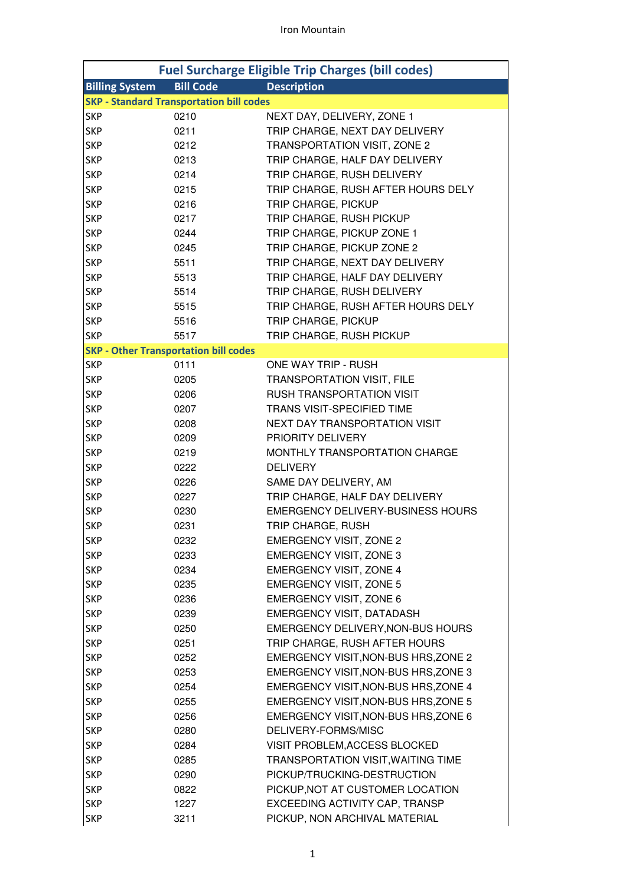| <b>Fuel Surcharge Eligible Trip Charges (bill codes)</b> |                                                 |                                          |  |
|----------------------------------------------------------|-------------------------------------------------|------------------------------------------|--|
|                                                          | <b>Bill Code</b><br><b>Billing System</b>       | <b>Description</b>                       |  |
|                                                          | <b>SKP - Standard Transportation bill codes</b> |                                          |  |
| <b>SKP</b>                                               | 0210                                            | NEXT DAY, DELIVERY, ZONE 1               |  |
| <b>SKP</b>                                               | 0211                                            | TRIP CHARGE, NEXT DAY DELIVERY           |  |
| <b>SKP</b>                                               | 0212                                            | TRANSPORTATION VISIT, ZONE 2             |  |
| <b>SKP</b>                                               | 0213                                            | TRIP CHARGE, HALF DAY DELIVERY           |  |
| <b>SKP</b>                                               | 0214                                            | TRIP CHARGE, RUSH DELIVERY               |  |
| <b>SKP</b>                                               | 0215                                            | TRIP CHARGE, RUSH AFTER HOURS DELY       |  |
| <b>SKP</b>                                               | 0216                                            | TRIP CHARGE, PICKUP                      |  |
| <b>SKP</b>                                               | 0217                                            | TRIP CHARGE, RUSH PICKUP                 |  |
| <b>SKP</b>                                               | 0244                                            | TRIP CHARGE, PICKUP ZONE 1               |  |
| <b>SKP</b>                                               | 0245                                            | TRIP CHARGE, PICKUP ZONE 2               |  |
| <b>SKP</b>                                               | 5511                                            | TRIP CHARGE, NEXT DAY DELIVERY           |  |
| <b>SKP</b>                                               | 5513                                            | TRIP CHARGE, HALF DAY DELIVERY           |  |
| <b>SKP</b>                                               | 5514                                            | TRIP CHARGE, RUSH DELIVERY               |  |
| <b>SKP</b>                                               | 5515                                            | TRIP CHARGE, RUSH AFTER HOURS DELY       |  |
| <b>SKP</b>                                               | 5516                                            | TRIP CHARGE, PICKUP                      |  |
| <b>SKP</b>                                               | 5517                                            | TRIP CHARGE, RUSH PICKUP                 |  |
|                                                          | <b>SKP - Other Transportation bill codes</b>    |                                          |  |
| <b>SKP</b>                                               | 0111                                            | <b>ONE WAY TRIP - RUSH</b>               |  |
| <b>SKP</b>                                               | 0205                                            | <b>TRANSPORTATION VISIT, FILE</b>        |  |
| <b>SKP</b>                                               | 0206                                            | <b>RUSH TRANSPORTATION VISIT</b>         |  |
| <b>SKP</b>                                               | 0207                                            | <b>TRANS VISIT-SPECIFIED TIME</b>        |  |
| <b>SKP</b>                                               | 0208                                            | NEXT DAY TRANSPORTATION VISIT            |  |
| <b>SKP</b>                                               | 0209                                            | PRIORITY DELIVERY                        |  |
| <b>SKP</b>                                               | 0219                                            | MONTHLY TRANSPORTATION CHARGE            |  |
| <b>SKP</b>                                               | 0222                                            | <b>DELIVERY</b>                          |  |
| <b>SKP</b>                                               | 0226                                            | SAME DAY DELIVERY, AM                    |  |
| <b>SKP</b>                                               | 0227                                            | TRIP CHARGE, HALF DAY DELIVERY           |  |
| <b>SKP</b>                                               | 0230                                            | <b>EMERGENCY DELIVERY-BUSINESS HOURS</b> |  |
| <b>SKP</b>                                               | 0231                                            | TRIP CHARGE, RUSH                        |  |
| <b>SKP</b>                                               | 0232                                            | <b>EMERGENCY VISIT, ZONE 2</b>           |  |
| <b>SKP</b>                                               | 0233                                            | <b>EMERGENCY VISIT, ZONE 3</b>           |  |
| <b>SKP</b>                                               | 0234                                            | <b>EMERGENCY VISIT, ZONE 4</b>           |  |
| <b>SKP</b>                                               | 0235                                            | <b>EMERGENCY VISIT, ZONE 5</b>           |  |
| <b>SKP</b>                                               | 0236                                            | <b>EMERGENCY VISIT, ZONE 6</b>           |  |
| <b>SKP</b>                                               | 0239                                            | <b>EMERGENCY VISIT, DATADASH</b>         |  |
| <b>SKP</b>                                               | 0250                                            | EMERGENCY DELIVERY, NON-BUS HOURS        |  |
| <b>SKP</b>                                               | 0251                                            | TRIP CHARGE, RUSH AFTER HOURS            |  |
| <b>SKP</b>                                               | 0252                                            | EMERGENCY VISIT, NON-BUS HRS, ZONE 2     |  |
| <b>SKP</b>                                               | 0253                                            | EMERGENCY VISIT, NON-BUS HRS, ZONE 3     |  |
| <b>SKP</b>                                               | 0254                                            | EMERGENCY VISIT, NON-BUS HRS, ZONE 4     |  |
| <b>SKP</b>                                               | 0255                                            | EMERGENCY VISIT, NON-BUS HRS, ZONE 5     |  |
| <b>SKP</b>                                               | 0256                                            | EMERGENCY VISIT, NON-BUS HRS, ZONE 6     |  |
| <b>SKP</b>                                               | 0280                                            | DELIVERY-FORMS/MISC                      |  |
| <b>SKP</b>                                               | 0284                                            | VISIT PROBLEM, ACCESS BLOCKED            |  |
| <b>SKP</b>                                               | 0285                                            | TRANSPORTATION VISIT, WAITING TIME       |  |
| <b>SKP</b>                                               | 0290                                            | PICKUP/TRUCKING-DESTRUCTION              |  |
| <b>SKP</b>                                               | 0822                                            | PICKUP, NOT AT CUSTOMER LOCATION         |  |
| <b>SKP</b>                                               | 1227                                            | EXCEEDING ACTIVITY CAP, TRANSP           |  |
| <b>SKP</b>                                               | 3211                                            | PICKUP, NON ARCHIVAL MATERIAL            |  |